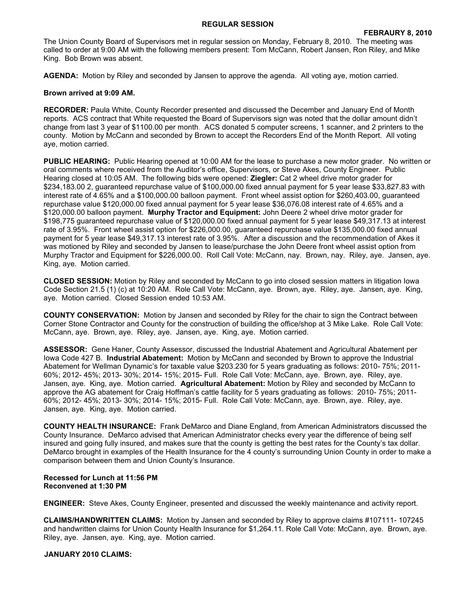## **REGULAR SESSION**

The Union County Board of Supervisors met in regular session on Monday, February 8, 2010. The meeting was called to order at 9:00 AM with the following members present: Tom McCann, Robert Jansen, Ron Riley, and Mike King. Bob Brown was absent.

**AGENDA:** Motion by Riley and seconded by Jansen to approve the agenda. All voting aye, motion carried.

## **Brown arrived at 9:09 AM.**

**RECORDER:** Paula White, County Recorder presented and discussed the December and January End of Month reports. ACS contract that White requested the Board of Supervisors sign was noted that the dollar amount didn't change from last 3 year of \$1100.00 per month. ACS donated 5 computer screens, 1 scanner, and 2 printers to the county. Motion by McCann and seconded by Brown to accept the Recorders End of the Month Report. All voting aye, motion carried.

**PUBLIC HEARING:** Public Hearing opened at 10:00 AM for the lease to purchase a new motor grader. No written or oral comments where received from the Auditor's office, Supervisors, or Steve Akes, County Engineer. Public Hearing closed at 10:05 AM. The following bids were opened: **Ziegler:** Cat 2 wheel drive motor grader for \$234,183.00 2, guaranteed repurchase value of \$100,000.00 fixed annual payment for 5 year lease \$33,827.83 with interest rate of 4.65% and a \$100,000.00 balloon payment. Front wheel assist option for \$260,403.00, guaranteed repurchase value \$120,000.00 fixed annual payment for 5 year lease \$36,076.08 interest rate of 4.65% and a \$120,000.00 balloon payment. **Murphy Tractor and Equipment:** John Deere 2 wheel drive motor grader for \$198,775 guaranteed repurchase value of \$120,000.00 fixed annual payment for 5 year lease \$49,317.13 at interest rate of 3.95%. Front wheel assist option for \$226,000.00, guaranteed repurchase value \$135,000.00 fixed annual payment for 5 year lease \$49,317.13 interest rate of 3.95%. After a discussion and the recommendation of Akes it was motioned by Riley and seconded by Jansen to lease/purchase the John Deere front wheel assist option from Murphy Tractor and Equipment for \$226,000.00. Roll Call Vote: McCann, nay. Brown, nay. Riley, aye. Jansen, aye. King, aye. Motion carried.

**CLOSED SESSION:** Motion by Riley and seconded by McCann to go into closed session matters in litigation Iowa Code Section 21.5 (1) (c) at 10:20 AM. Role Call Vote: McCann, aye. Brown, aye. Riley, aye. Jansen, aye. King, aye. Motion carried. Closed Session ended 10:53 AM.

**COUNTY CONSERVATION:** Motion by Jansen and seconded by Riley for the chair to sign the Contract between Corner Stone Contractor and County for the construction of building the office/shop at 3 Mike Lake. Role Call Vote: McCann, aye. Brown, aye. Riley, aye. Jansen, aye. King, aye. Motion carried.

**ASSESSOR:** Gene Haner, County Assessor, discussed the Industrial Abatement and Agricultural Abatement per Iowa Code 427 B. **Industrial Abatement:** Motion by McCann and seconded by Brown to approve the Industrial Abatement for Wellman Dynamic's for taxable value \$203.230 for 5 years graduating as follows: 2010- 75%; 2011- 60%; 2012- 45%; 2013- 30%; 2014- 15%; 2015- Full. Role Call Vote: McCann, aye. Brown, aye. Riley, aye. Jansen, aye. King, aye. Motion carried. **Agricultural Abatement:** Motion by Riley and seconded by McCann to approve the AG abatement for Craig Hoffman's cattle facility for 5 years graduating as follows: 2010- 75%; 2011- 60%; 2012- 45%; 2013- 30%; 2014- 15%; 2015- Full. Role Call Vote: McCann, aye. Brown, aye. Riley, aye. Jansen, aye. King, aye. Motion carried.

**COUNTY HEALTH INSURANCE:** Frank DeMarco and Diane England, from American Administrators discussed the County Insurance. DeMarco advised that American Administrator checks every year the difference of being self insured and going fully insured, and makes sure that the county is getting the best rates for the County's tax dollar. DeMarco brought in examples of the Health Insurance for the 4 county's surrounding Union County in order to make a comparison between them and Union County's Insurance.

## **Recessed for Lunch at 11:56 PM Reconvened at 1:30 PM**

**ENGINEER:** Steve Akes, County Engineer, presented and discussed the weekly maintenance and activity report.

**CLAIMS/HANDWRITTEN CLAIMS:** Motion by Jansen and seconded by Riley to approve claims #107111- 107245 and handwritten claims for Union County Health Insurance for \$1,264.11. Role Call Vote: McCann, aye. Brown, aye. Riley, aye. Jansen, aye. King, aye. Motion carried.

## **JANUARY 2010 CLAIMS:**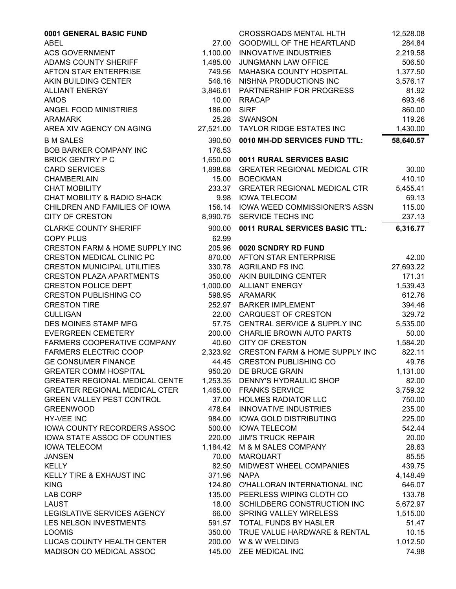| 0001 GENERAL BASIC FUND                   |                | <b>CROSSROADS MENTAL HLTH</b>           | 12,528.08          |
|-------------------------------------------|----------------|-----------------------------------------|--------------------|
| <b>ABEL</b>                               | 27.00          | <b>GOODWILL OF THE HEARTLAND</b>        | 284.84             |
| <b>ACS GOVERNMENT</b>                     | 1,100.00       | <b>INNOVATIVE INDUSTRIES</b>            | 2,219.58           |
| ADAMS COUNTY SHERIFF                      | 1,485.00       | JUNGMANN LAW OFFICE                     | 506.50             |
| AFTON STAR ENTERPRISE                     | 749.56         | MAHASKA COUNTY HOSPITAL                 | 1,377.50           |
| AKIN BUILDING CENTER                      | 546.16         | NISHNA PRODUCTIONS INC                  | 3,576.17           |
| <b>ALLIANT ENERGY</b>                     | 3,846.61       | PARTNERSHIP FOR PROGRESS                | 81.92              |
| <b>AMOS</b>                               | 10.00          | <b>RRACAP</b>                           | 693.46             |
| ANGEL FOOD MINISTRIES                     | 186.00         | <b>SIRF</b>                             | 860.00             |
| <b>ARAMARK</b>                            | 25.28          | SWANSON                                 | 119.26             |
| AREA XIV AGENCY ON AGING                  | 27,521.00      | <b>TAYLOR RIDGE ESTATES INC</b>         | 1,430.00           |
| <b>B M SALES</b>                          | 390.50         | 0010 MH-DD SERVICES FUND TTL:           | 58,640.57          |
| <b>BOB BARKER COMPANY INC</b>             | 176.53         |                                         |                    |
| <b>BRICK GENTRY P C</b>                   | 1,650.00       | 0011 RURAL SERVICES BASIC               |                    |
| <b>CARD SERVICES</b>                      | 1,898.68       | <b>GREATER REGIONAL MEDICAL CTR</b>     | 30.00              |
| CHAMBERLAIN                               | 15.00          | <b>BOECKMAN</b>                         | 410.10             |
| <b>CHAT MOBILITY</b>                      | 233.37         | <b>GREATER REGIONAL MEDICAL CTR</b>     | 5,455.41           |
| CHAT MOBILITY & RADIO SHACK               | 9.98           | <b>IOWA TELECOM</b>                     | 69.13              |
| CHILDREN AND FAMILIES OF IOWA             | 156.14         | <b>IOWA WEED COMMISSIONER'S ASSN</b>    | 115.00             |
| <b>CITY OF CRESTON</b>                    | 8,990.75       | SERVICE TECHS INC                       | 237.13             |
| <b>CLARKE COUNTY SHERIFF</b>              | 900.00         | 0011 RURAL SERVICES BASIC TTL:          | 6,316.77           |
| <b>COPY PLUS</b>                          | 62.99          |                                         |                    |
| <b>CRESTON FARM &amp; HOME SUPPLY INC</b> | 205.96         | 0020 SCNDRY RD FUND                     |                    |
| <b>CRESTON MEDICAL CLINIC PC</b>          | 870.00         | <b>AFTON STAR ENTERPRISE</b>            | 42.00              |
| <b>CRESTON MUNICIPAL UTILITIES</b>        | 330.78         | <b>AGRILAND FS INC</b>                  | 27,693.22          |
| <b>CRESTON PLAZA APARTMENTS</b>           | 350.00         | AKIN BUILDING CENTER                    | 171.31             |
| <b>CRESTON POLICE DEPT</b>                | 1,000.00       | <b>ALLIANT ENERGY</b>                   | 1,539.43           |
| <b>CRESTON PUBLISHING CO</b>              | 598.95         | <b>ARAMARK</b>                          | 612.76             |
| <b>CRESTON TIRE</b>                       | 252.97         | <b>BARKER IMPLEMENT</b>                 | 394.46             |
| <b>CULLIGAN</b>                           | 22.00          | CARQUEST OF CRESTON                     | 329.72             |
| DES MOINES STAMP MFG                      | 57.75          | CENTRAL SERVICE & SUPPLY INC            | 5,535.00           |
| <b>EVERGREEN CEMETERY</b>                 | 200.00         | CHARLIE BROWN AUTO PARTS                | 50.00              |
| FARMERS COOPERATIVE COMPANY               | 40.60          | <b>CITY OF CRESTON</b>                  | 1,584.20           |
| <b>FARMERS ELECTRIC COOP</b>              |                | 2,323.92 CRESTON FARM & HOME SUPPLY INC | 822.11             |
| <b>GE CONSUMER FINANCE</b>                |                | 44.45 CRESTON PUBLISHING CO             | 49.76              |
| <b>GREATER COMM HOSPITAL</b>              |                | 950.20 DE BRUCE GRAIN                   | 1,131.00           |
| <b>GREATER REGIONAL MEDICAL CENTE</b>     |                | 1,253.35 DENNY'S HYDRAULIC SHOP         | 82.00              |
| <b>GREATER REGIONAL MEDICAL CTER</b>      | 1,465.00       | <b>FRANKS SERVICE</b>                   | 3,759.32           |
| <b>GREEN VALLEY PEST CONTROL</b>          | 37.00          | <b>HOLMES RADIATOR LLC</b>              | 750.00             |
| <b>GREENWOOD</b>                          | 478.64         | <b>INNOVATIVE INDUSTRIES</b>            | 235.00             |
| HY-VEE INC                                | 984.00         | <b>IOWA GOLD DISTRIBUTING</b>           | 225.00             |
| <b>IOWA COUNTY RECORDERS ASSOC</b>        | 500.00         | <b>IOWA TELECOM</b>                     | 542.44             |
| IOWA STATE ASSOC OF COUNTIES              | 220.00         | <b>JIM'S TRUCK REPAIR</b>               | 20.00              |
| <b>IOWA TELECOM</b>                       | 1,184.42       | M & M SALES COMPANY                     | 28.63<br>85.55     |
| <b>JANSEN</b>                             | 70.00<br>82.50 | <b>MARQUART</b>                         | 439.75             |
| <b>KELLY</b><br>KELLY TIRE & EXHAUST INC  | 371.96         | MIDWEST WHEEL COMPANIES<br><b>NAPA</b>  |                    |
| <b>KING</b>                               | 124.80         | O'HALLORAN INTERNATIONAL INC            | 4,148.49<br>646.07 |
| <b>LAB CORP</b>                           | 135.00         | PEERLESS WIPING CLOTH CO                | 133.78             |
| <b>LAUST</b>                              | 18.00          | SCHILDBERG CONSTRUCTION INC             | 5,672.97           |
| LEGISLATIVE SERVICES AGENCY               | 66.00          | <b>SPRING VALLEY WIRELESS</b>           | 1,515.00           |
| LES NELSON INVESTMENTS                    | 591.57         | TOTAL FUNDS BY HASLER                   | 51.47              |
| <b>LOOMIS</b>                             | 350.00         | TRUE VALUE HARDWARE & RENTAL            | 10.15              |
| LUCAS COUNTY HEALTH CENTER                | 200.00         | W & W WELDING                           | 1,012.50           |
| MADISON CO MEDICAL ASSOC                  | 145.00         | ZEE MEDICAL INC                         | 74.98              |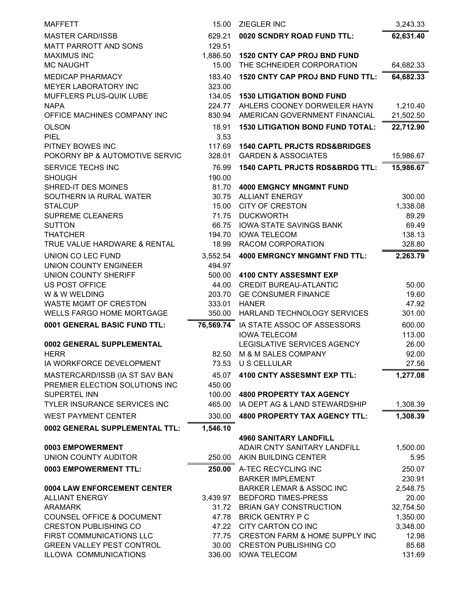| <b>MAFFETT</b>                       | 15.00           | <b>ZIEGLER INC</b>                                          | 3,243.33       |
|--------------------------------------|-----------------|-------------------------------------------------------------|----------------|
| <b>MASTER CARD/ISSB</b>              | 629.21          | 0020 SCNDRY ROAD FUND TTL:                                  | 62,631.40      |
| <b>MATT PARROTT AND SONS</b>         | 129.51          |                                                             |                |
| <b>MAXIMUS INC</b>                   | 1,886.50        | <b>1520 CNTY CAP PROJ BND FUND</b>                          |                |
| <b>MC NAUGHT</b>                     | 15.00           | THE SCHNEIDER CORPORATION                                   | 64,682.33      |
| <b>MEDICAP PHARMACY</b>              | 183.40          | <b>1520 CNTY CAP PROJ BND FUND TTL:</b>                     | 64,682.33      |
| MEYER LABORATORY INC                 | 323.00          |                                                             |                |
| MUFFLERS PLUS-QUIK LUBE              | 134.05          | <b>1530 LITIGATION BOND FUND</b>                            |                |
| <b>NAPA</b>                          | 224.77          | AHLERS COONEY DORWEILER HAYN                                | 1,210.40       |
| OFFICE MACHINES COMPANY INC          | 830.94          | AMERICAN GOVERNMENT FINANCIAL                               | 21,502.50      |
| <b>OLSON</b>                         | 18.91           | <b>1530 LITIGATION BOND FUND TOTAL:</b>                     | 22,712.90      |
| <b>PIEL</b>                          | 3.53            |                                                             |                |
| PITNEY BOWES INC                     | 117.69          | <b>1540 CAPTL PRJCTS RDS&amp;BRIDGES</b>                    |                |
| POKORNY BP & AUTOMOTIVE SERVIC       | 328.01          | <b>GARDEN &amp; ASSOCIATES</b>                              | 15,986.67      |
| SERVICE TECHS INC                    | 76.99           | <b>1540 CAPTL PRJCTS RDS&amp;BRDG TTL:</b>                  | 15,986.67      |
| <b>SHOUGH</b>                        | 190.00          |                                                             |                |
| <b>SHRED-IT DES MOINES</b>           | 81.70           | <b>4000 EMGNCY MNGMNT FUND</b>                              |                |
| SOUTHERN IA RURAL WATER              | 30.75           | <b>ALLIANT ENERGY</b>                                       | 300.00         |
| <b>STALCUP</b>                       | 15.00           | <b>CITY OF CRESTON</b>                                      | 1,338.08       |
| SUPREME CLEANERS                     | 71.75           | <b>DUCKWORTH</b>                                            | 89.29          |
| <b>SUTTON</b>                        | 66.75           | <b>IOWA STATE SAVINGS BANK</b>                              | 69.49          |
| <b>THATCHER</b>                      | 194.70          | <b>IOWA TELECOM</b>                                         | 138.13         |
| TRUE VALUE HARDWARE & RENTAL         | 18.99           | RACOM CORPORATION                                           | 328.80         |
| UNION CO LEC FUND                    | 3,552.54        | <b>4000 EMRGNCY MNGMNT FND TTL:</b>                         | 2,263.79       |
| <b>UNION COUNTY ENGINEER</b>         | 494.97          |                                                             |                |
| <b>UNION COUNTY SHERIFF</b>          | 500.00          | <b>4100 CNTY ASSESMNT EXP</b>                               |                |
| US POST OFFICE<br>W & W WELDING      | 44.00<br>203.70 | <b>CREDIT BUREAU-ATLANTIC</b><br><b>GE CONSUMER FINANCE</b> | 50.00<br>19.60 |
| <b>WASTE MGMT OF CRESTON</b>         | 333.01          | <b>HANER</b>                                                | 47.92          |
| <b>WELLS FARGO HOME MORTGAGE</b>     | 350.00          | HARLAND TECHNOLOGY SERVICES                                 | 301.00         |
| 0001 GENERAL BASIC FUND TTL:         | 76,569.74       | IA STATE ASSOC OF ASSESSORS                                 | 600.00         |
|                                      |                 | <b>IOWA TELECOM</b>                                         | 113.00         |
| 0002 GENERAL SUPPLEMENTAL            |                 | LEGISLATIVE SERVICES AGENCY                                 | 26.00          |
| <b>HERR</b>                          |                 | 82.50 M & M SALES COMPANY                                   | 92.00          |
| IA WORKFORCE DEVELOPMENT             | 73.53           | U S CELLULAR                                                | 27.56          |
| MASTERCARD/ISSB (IA ST SAV BAN       | 45.07           | 4100 CNTY ASSESMNT EXP TTL:                                 | 1,277.08       |
| PREMIER ELECTION SOLUTIONS INC       | 450.00          |                                                             |                |
| SUPERTEL INN                         | 100.00          | <b>4800 PROPERTY TAX AGENCY</b>                             |                |
| TYLER INSURANCE SERVICES INC         | 465.00          | IA DEPT AG & LAND STEWARDSHIP                               | 1,308.39       |
| <b>WEST PAYMENT CENTER</b>           | 330.00          | <b>4800 PROPERTY TAX AGENCY TTL:</b>                        | 1,308.39       |
| 0002 GENERAL SUPPLEMENTAL TTL:       | 1,546.10        |                                                             |                |
|                                      |                 | <b>4960 SANITARY LANDFILL</b>                               |                |
| 0003 EMPOWERMENT                     |                 | ADAIR CNTY SANITARY LANDFILL                                | 1,500.00       |
| UNION COUNTY AUDITOR                 | 250.00          | AKIN BUILDING CENTER                                        | 5.95           |
| 0003 EMPOWERMENT TTL:                | 250.00          | A-TEC RECYCLING INC                                         | 250.07         |
|                                      |                 | <b>BARKER IMPLEMENT</b>                                     | 230.91         |
| 0004 LAW ENFORCEMENT CENTER          |                 | <b>BARKER LEMAR &amp; ASSOC INC</b>                         | 2,548.75       |
| <b>ALLIANT ENERGY</b>                | 3,439.97        | <b>BEDFORD TIMES-PRESS</b>                                  | 20.00          |
| <b>ARAMARK</b>                       | 31.72           | <b>BRIAN GAY CONSTRUCTION</b>                               | 32,754.50      |
| <b>COUNSEL OFFICE &amp; DOCUMENT</b> | 47.78           | <b>BRICK GENTRY P C</b>                                     | 1,350.00       |
| <b>CRESTON PUBLISHING CO</b>         | 47.22           | CITY CARTON CO INC                                          | 3,348.00       |
| FIRST COMMUNICATIONS LLC             | 77.75           | <b>CRESTON FARM &amp; HOME SUPPLY INC</b>                   | 12.98          |
| <b>GREEN VALLEY PEST CONTROL</b>     | 30.00           | <b>CRESTON PUBLISHING CO</b>                                | 85.68          |
| ILLOWA COMMUNICATIONS                | 336.00          | <b>IOWA TELECOM</b>                                         | 131.69         |